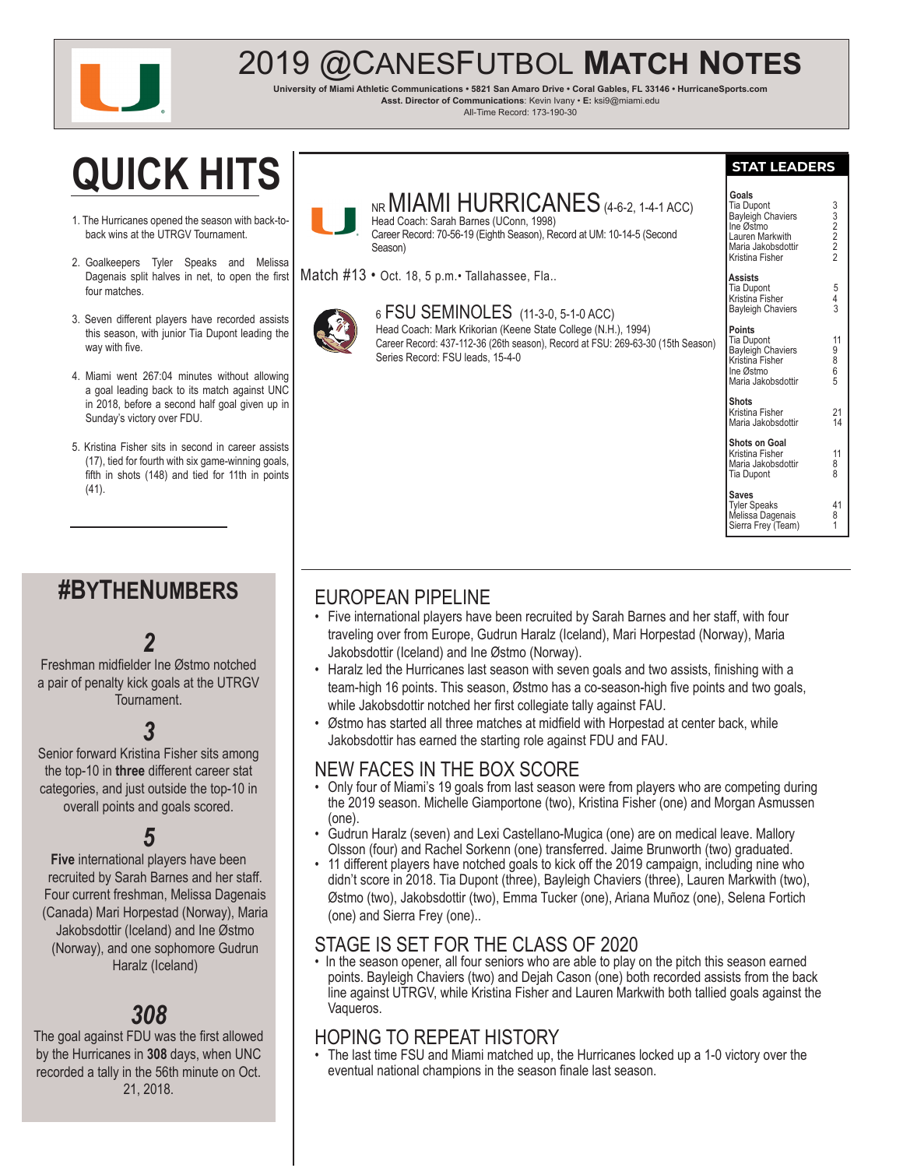

# 2019 @CANESFUTBOL **MATCH NOTES**

**University of Miami Athletic Communications • 5821 San Amaro Drive • Coral Gables, FL 33146 • HurricaneSports.com Asst. Director of Communications**: Kevin Ivany • **E:** ksi9@miami.edu

All-Time Record: 173-190-30

# **QUICK HITS Goals**

- 1. The Hurricanes opened the season with back-toback wins at the UTRGV Tournament.
- 2. Goalkeepers Tyler Speaks and Melissa Dagenais split halves in net, to open the first four matches.
- 3. Seven different players have recorded assists this season, with junior Tia Dupont leading the way with five.
- 4. Miami went 267:04 minutes without allowing a goal leading back to its match against UNC in 2018, before a second half goal given up in Sunday's victory over FDU.
- 5. Kristina Fisher sits in second in career assists (17), tied for fourth with six game-winning goals, fifth in shots (148) and tied for 11th in points (41).

# **#BYTHENUMBERS**

# *2*

Freshman midfielder Ine Østmo notched a pair of penalty kick goals at the UTRGV Tournament.

# *3*

Senior forward Kristina Fisher sits among the top-10 in **three** different career stat categories, and just outside the top-10 in overall points and goals scored.

# *5*

**Five** international players have been recruited by Sarah Barnes and her staff. Four current freshman, Melissa Dagenais (Canada) Mari Horpestad (Norway), Maria Jakobsdottir (Iceland) and Ine Østmo (Norway), and one sophomore Gudrun Haralz (Iceland)

# *308*

The goal against FDU was the first allowed by the Hurricanes in **308** days, when UNC recorded a tally in the 56th minute on Oct. 21, 2018.



# NR **MIAMI HURRICANES** (4-6-2, 1-4-1 ACC)<br>Head Coach: Sarah Barnes (UConn, 1998)

Career Record: 70-56-19 (Eighth Season), Record at UM: 10-14-5 (Second Season)

Match #13 • Oct. 18, 5 p.m.• Tallahassee, Fla..



#### <sup>6</sup> FSU SEMINOLES (11-3-0, 5-1-0 ACC)

Head Coach: Mark Krikorian (Keene State College (N.H.), 1994) Career Record: 437-112-36 (26th season), Record at FSU: 269-63-30 (15th Season) Series Record: FSU leads, 15-4-0

#### **STAT LEADERS**

| 33222         |
|---------------|
| $\frac{5}{3}$ |
| 11<br>9865    |
| 21<br>14      |
| 11<br>8<br>8  |
| 41<br>8<br>1  |
|               |

### EUROPEAN PIPELINE

- Five international players have been recruited by Sarah Barnes and her staff, with four traveling over from Europe, Gudrun Haralz (Iceland), Mari Horpestad (Norway), Maria Jakobsdottir (Iceland) and Ine Østmo (Norway).
- Haralz led the Hurricanes last season with seven goals and two assists, finishing with a team-high 16 points. This season, Østmo has a co-season-high five points and two goals, while Jakobsdottir notched her first collegiate tally against FAU.
- Østmo has started all three matches at midfield with Horpestad at center back, while Jakobsdottir has earned the starting role against FDU and FAU.

# NEW FACES IN THE BOX SCORE

- Only four of Miami's 19 goals from last season were from players who are competing during the 2019 season. Michelle Giamportone (two), Kristina Fisher (one) and Morgan Asmussen (one).
- Gudrun Haralz (seven) and Lexi Castellano-Mugica (one) are on medical leave. Mallory Olsson (four) and Rachel Sorkenn (one) transferred. Jaime Brunworth (two) graduated.
- 11 different players have notched goals to kick off the 2019 campaign, including nine who didn't score in 2018. Tia Dupont (three), Bayleigh Chaviers (three), Lauren Markwith (two), Østmo (two), Jakobsdottir (two), Emma Tucker (one), Ariana Muñoz (one), Selena Fortich (one) and Sierra Frey (one)..

# STAGE IS SET FOR THE CLASS OF 2020

• In the season opener, all four seniors who are able to play on the pitch this season earned points. Bayleigh Chaviers (two) and Dejah Cason (one) both recorded assists from the back line against UTRGV, while Kristina Fisher and Lauren Markwith both tallied goals against the Vaqueros.

### HOPING TO REPEAT HISTORY

• The last time FSU and Miami matched up, the Hurricanes locked up a 1-0 victory over the eventual national champions in the season finale last season.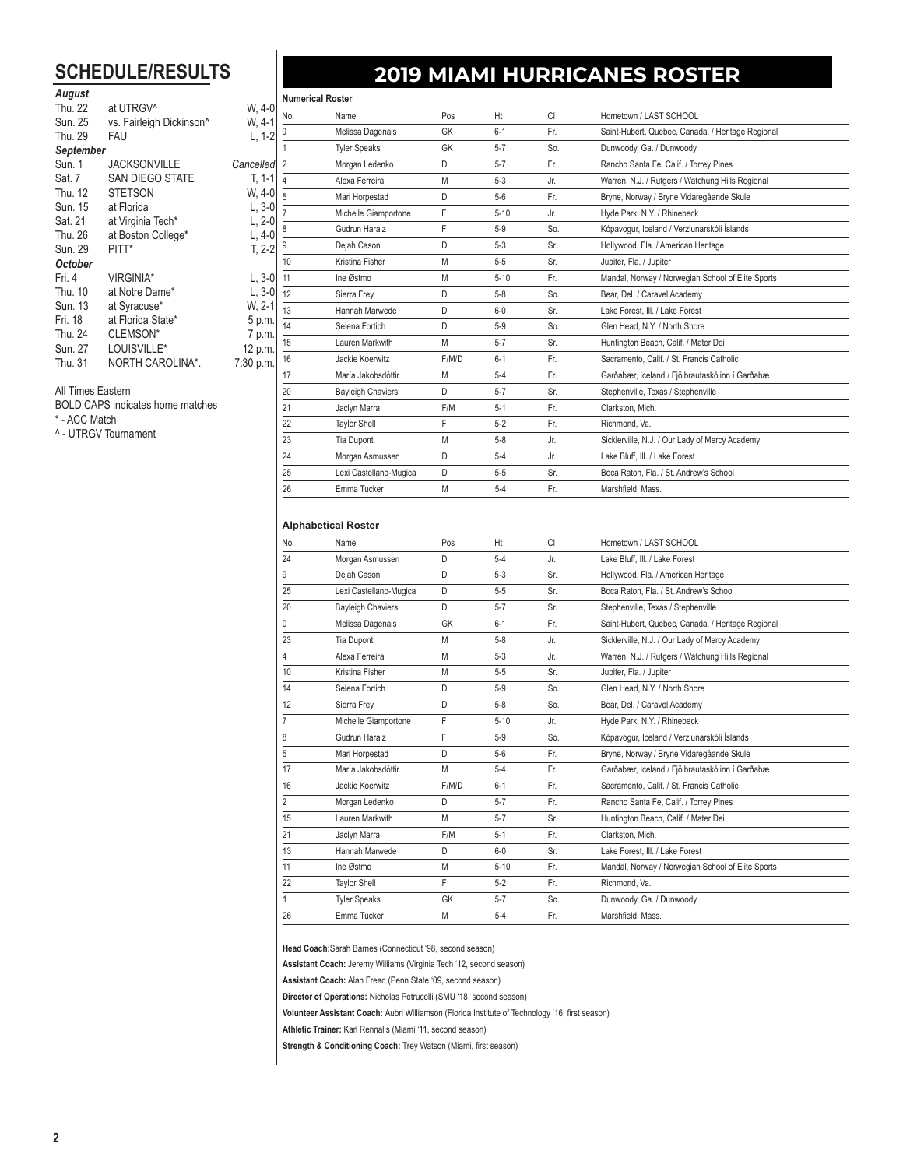# **SCHEDULE/RESULTS 2019 MIAMI HURRICANES ROSTER**

| August                                                                     |                          |           |  |  |  |  |
|----------------------------------------------------------------------------|--------------------------|-----------|--|--|--|--|
| Thu. 22                                                                    | at UTRGV <sup>^</sup>    | W. 4-0    |  |  |  |  |
| Sun. 25                                                                    | vs. Fairleigh Dickinson^ | W. 4-1    |  |  |  |  |
| Thu. 29                                                                    | FAU                      | $L, 1-2$  |  |  |  |  |
| September                                                                  |                          |           |  |  |  |  |
| <b>Sun. 1</b>                                                              | <b>JACKSONVILLE</b>      | Cancelled |  |  |  |  |
| Sat. 7                                                                     | <b>SAN DIEGO STATE</b>   | $T, 1-1$  |  |  |  |  |
| Thu. 12                                                                    | <b>STETSON</b>           | W, 4-0    |  |  |  |  |
| Sun. 15                                                                    | at Florida               | $L, 3-0$  |  |  |  |  |
| Sat. 21                                                                    | at Virginia Tech*        | $L, 2-0$  |  |  |  |  |
| Thu. 26                                                                    | at Boston College*       | $L, 4-0$  |  |  |  |  |
| Sun. 29                                                                    | PITT*                    | $T, 2-2$  |  |  |  |  |
| <b>October</b>                                                             |                          |           |  |  |  |  |
| Fri. 4                                                                     | VIRGINIA*                | L, 3-0    |  |  |  |  |
| Thu. 10                                                                    | at Notre Dame*           | $L, 3-0$  |  |  |  |  |
| Sun. 13                                                                    | at Syracuse*             | W. 2-1    |  |  |  |  |
| Fri. 18                                                                    | at Florida State*        | 5 p.m.    |  |  |  |  |
| Thu. 24                                                                    | CLEMSON*                 | 7 p.m.    |  |  |  |  |
| Sun. 27                                                                    | LOUISVILLE*              | 12 p.m.   |  |  |  |  |
| Thu. 31                                                                    | NORTH CAROLINA*.         | 7:30 p.m. |  |  |  |  |
| All Times Eastern<br>$P \cap P \cap P \cap P \cap P$<br>المنافرة والمستورة |                          |           |  |  |  |  |

BOLD CAPS indicates home matches

\* - ACC Match

^ - UTRGV Tournament

|                      | <b>Numerical Roster</b> |                          |                                                                                                                                                                                                                                                                                                                                                                                                                                                                                                                                                                                                                                                                                                                                                   |                                        |           |                                                   |  |
|----------------------|-------------------------|--------------------------|---------------------------------------------------------------------------------------------------------------------------------------------------------------------------------------------------------------------------------------------------------------------------------------------------------------------------------------------------------------------------------------------------------------------------------------------------------------------------------------------------------------------------------------------------------------------------------------------------------------------------------------------------------------------------------------------------------------------------------------------------|----------------------------------------|-----------|---------------------------------------------------|--|
| W. 4-0<br>W, 4-1     | No.                     | Name                     | Pos                                                                                                                                                                                                                                                                                                                                                                                                                                                                                                                                                                                                                                                                                                                                               | Ht                                     | <b>CI</b> | Hometown / LAST SCHOOL                            |  |
| $L, 1-2$             | 0                       | Melissa Dagenais         | GK                                                                                                                                                                                                                                                                                                                                                                                                                                                                                                                                                                                                                                                                                                                                                | $6 - 1$                                | Fr.       | Saint-Hubert, Quebec, Canada. / Heritage Regional |  |
|                      |                         | <b>Tyler Speaks</b>      | GK                                                                                                                                                                                                                                                                                                                                                                                                                                                                                                                                                                                                                                                                                                                                                | $5 - 7$                                | So.       | Dunwoody, Ga. / Dunwoody                          |  |
| ancelled             | $\overline{2}$          | Morgan Ledenko           | D<br>Fr.<br>$5 - 7$<br>M<br>$5 - 3$<br>Jr.<br>D<br>$5-6$<br>Fr.<br>F<br>$5 - 10$<br>Hyde Park, N.Y. / Rhinebeck<br>Jr.<br>F<br>$5-9$<br>So.<br>D<br>$5 - 3$<br>Sr.<br>M<br>$5 - 5$<br>Sr.<br>Jupiter, Fla. / Jupiter<br>M<br>$5 - 10$<br>Fr.<br>D<br>So.<br>Bear, Del. / Caravel Academy<br>$5 - 8$<br>D<br>Lake Forest. III. / Lake Forest<br>$6-0$<br>Sr.<br>D<br>$5-9$<br>So.<br>Glen Head, N.Y. / North Shore<br>M<br>Sr.<br>$5 - 7$<br>F/M/D<br>$6-1$<br>Fr.<br>M<br>Fr.<br>$5 - 4$<br>D<br>Sr.<br>$5 - 7$<br>Fr.<br>Clarkston, Mich.<br>F/M<br>$5-1$<br>F<br>Fr.<br>Richmond, Va.<br>$5-2$<br>M<br>$5 - 8$<br>Jr.<br>D<br>Lake Bluff, III. / Lake Forest<br>$5 - 4$<br>Jr.<br>D<br>Sr.<br>$5-5$<br>M<br>Fr.<br>$5 - 4$<br>Marshfield, Mass. | Rancho Santa Fe, Calif. / Torrey Pines |           |                                                   |  |
| $T, 1-1$             | $\overline{4}$          | Alexa Ferreira           |                                                                                                                                                                                                                                                                                                                                                                                                                                                                                                                                                                                                                                                                                                                                                   |                                        |           | Warren, N.J. / Rutgers / Watchung Hills Regional  |  |
| W. 4-0               | 5                       | Mari Horpestad           |                                                                                                                                                                                                                                                                                                                                                                                                                                                                                                                                                                                                                                                                                                                                                   |                                        |           | Bryne, Norway / Bryne Vidaregåande Skule          |  |
| $L, 3-0$<br>$L, 2-0$ |                         | Michelle Giamportone     |                                                                                                                                                                                                                                                                                                                                                                                                                                                                                                                                                                                                                                                                                                                                                   |                                        |           |                                                   |  |
| $L, 4-0$             |                         | Gudrun Haralz            |                                                                                                                                                                                                                                                                                                                                                                                                                                                                                                                                                                                                                                                                                                                                                   |                                        |           | Kópavogur, Iceland / Verzlunarskóli Íslands       |  |
| $T, 2-2$             |                         | Dejah Cason              |                                                                                                                                                                                                                                                                                                                                                                                                                                                                                                                                                                                                                                                                                                                                                   |                                        |           | Hollywood, Fla. / American Heritage               |  |
|                      | 10                      | Kristina Fisher          |                                                                                                                                                                                                                                                                                                                                                                                                                                                                                                                                                                                                                                                                                                                                                   |                                        |           |                                                   |  |
| $L, 3-0$             | 11                      | Ine Østmo                |                                                                                                                                                                                                                                                                                                                                                                                                                                                                                                                                                                                                                                                                                                                                                   |                                        |           | Mandal, Norway / Norwegian School of Elite Sports |  |
| $L, 3-0$             | 12                      | Sierra Frev              |                                                                                                                                                                                                                                                                                                                                                                                                                                                                                                                                                                                                                                                                                                                                                   |                                        |           |                                                   |  |
| W, 2-1               | 13                      | Hannah Marwede           |                                                                                                                                                                                                                                                                                                                                                                                                                                                                                                                                                                                                                                                                                                                                                   |                                        |           |                                                   |  |
| 5 p.m.<br>7 p.m.     | 14                      | Selena Fortich           |                                                                                                                                                                                                                                                                                                                                                                                                                                                                                                                                                                                                                                                                                                                                                   |                                        |           |                                                   |  |
| 12 p.m.              | 15                      | Lauren Markwith          |                                                                                                                                                                                                                                                                                                                                                                                                                                                                                                                                                                                                                                                                                                                                                   |                                        |           | Huntington Beach, Calif. / Mater Dei              |  |
| :30 p.m.             | 16                      | Jackie Koerwitz          |                                                                                                                                                                                                                                                                                                                                                                                                                                                                                                                                                                                                                                                                                                                                                   |                                        |           | Sacramento, Calif. / St. Francis Catholic         |  |
|                      | 17                      | María Jakobsdóttir       |                                                                                                                                                                                                                                                                                                                                                                                                                                                                                                                                                                                                                                                                                                                                                   |                                        |           | Garðabær, Iceland / Fjölbrautaskólinn í Garðabæ   |  |
|                      | 20                      | <b>Bayleigh Chaviers</b> |                                                                                                                                                                                                                                                                                                                                                                                                                                                                                                                                                                                                                                                                                                                                                   |                                        |           | Stephenville, Texas / Stephenville                |  |
|                      | 21                      | Jaclyn Marra             |                                                                                                                                                                                                                                                                                                                                                                                                                                                                                                                                                                                                                                                                                                                                                   |                                        |           |                                                   |  |
|                      | 22                      | <b>Tavlor Shell</b>      |                                                                                                                                                                                                                                                                                                                                                                                                                                                                                                                                                                                                                                                                                                                                                   |                                        |           |                                                   |  |
|                      | 23                      | <b>Tia Dupont</b>        |                                                                                                                                                                                                                                                                                                                                                                                                                                                                                                                                                                                                                                                                                                                                                   |                                        |           | Sicklerville, N.J. / Our Lady of Mercy Academy    |  |
|                      | 24                      | Morgan Asmussen          |                                                                                                                                                                                                                                                                                                                                                                                                                                                                                                                                                                                                                                                                                                                                                   |                                        |           |                                                   |  |
|                      | 25                      | Lexi Castellano-Mugica   |                                                                                                                                                                                                                                                                                                                                                                                                                                                                                                                                                                                                                                                                                                                                                   |                                        |           | Boca Raton, Fla. / St. Andrew's School            |  |
|                      | 26                      | Emma Tucker              |                                                                                                                                                                                                                                                                                                                                                                                                                                                                                                                                                                                                                                                                                                                                                   |                                        |           |                                                   |  |
|                      |                         |                          |                                                                                                                                                                                                                                                                                                                                                                                                                                                                                                                                                                                                                                                                                                                                                   |                                        |           |                                                   |  |

#### **Alphabetical Roster**

**Numerical Roster**

| No.            | Name                     | Pos   | Ht       | <b>CI</b> | Hometown / LAST SCHOOL                            |
|----------------|--------------------------|-------|----------|-----------|---------------------------------------------------|
| 24             | Morgan Asmussen          | D     | $5 - 4$  | Jr.       | Lake Bluff. III. / Lake Forest                    |
| 9              | Dejah Cason              | D     | $5-3$    | Sr.       | Hollywood, Fla. / American Heritage               |
| 25             | Lexi Castellano-Mugica   | D     | $5-5$    | Sr.       | Boca Raton, Fla. / St. Andrew's School            |
| 20             | <b>Bayleigh Chaviers</b> | D     | $5 - 7$  | Sr.       | Stephenville, Texas / Stephenville                |
| $\Omega$       | Melissa Dagenais         | GK    | $6 - 1$  | Fr.       | Saint-Hubert, Quebec, Canada. / Heritage Regional |
| 23             | <b>Tia Dupont</b>        | M     | $5-8$    | Jr.       | Sicklerville, N.J. / Our Lady of Mercy Academy    |
| 4              | Alexa Ferreira           | M     | $5 - 3$  | Jr.       | Warren, N.J. / Rutgers / Watchung Hills Regional  |
| 10             | Kristina Fisher          | M     | $5-5$    | Sr.       | Jupiter, Fla. / Jupiter                           |
| 14             | Selena Fortich           | D     | $5-9$    | So.       | Glen Head, N.Y. / North Shore                     |
| 12             | Sierra Frey              | D     | $5 - 8$  | So.       | Bear, Del. / Caravel Academy                      |
| $\overline{7}$ | Michelle Giamportone     | F     | $5 - 10$ | Jr.       | Hyde Park, N.Y. / Rhinebeck                       |
| 8              | Gudrun Haralz            | F     | $5-9$    | So.       | Kópavogur, Iceland / Verzlunarskóli Íslands       |
| 5              | Mari Horpestad           | D     | $5-6$    | Fr.       | Bryne, Norway / Bryne Vidaregåande Skule          |
| 17             | María Jakobsdóttir       | M     | $5 - 4$  | Fr.       | Garðabær, Iceland / Fjölbrautaskólinn í Garðabæ   |
| 16             | Jackie Koerwitz          | F/M/D | $6 - 1$  | Fr.       | Sacramento, Calif. / St. Francis Catholic         |
| $\overline{2}$ | Morgan Ledenko           | D     | $5 - 7$  | Fr.       | Rancho Santa Fe, Calif. / Torrey Pines            |
| 15             | Lauren Markwith          | M     | $5 - 7$  | Sr.       | Huntington Beach, Calif. / Mater Dei              |
| 21             | Jaclyn Marra             | F/M   | $5-1$    | Fr.       | Clarkston, Mich.                                  |
| 13             | Hannah Marwede           | D     | $6 - 0$  | Sr.       | Lake Forest. III. / Lake Forest                   |
| 11             | Ine Østmo                | M     | $5 - 10$ | Fr.       | Mandal, Norway / Norwegian School of Elite Sports |
| 22             | <b>Taylor Shell</b>      | F     | $5-2$    | Fr.       | Richmond, Va.                                     |
| 1              | <b>Tyler Speaks</b>      | GK    | $5 - 7$  | So.       | Dunwoody, Ga. / Dunwoody                          |
| 26             | Emma Tucker              | M     | $5 - 4$  | Fr.       | Marshfield, Mass.                                 |
|                |                          |       |          |           |                                                   |

**Head Coach:**Sarah Barnes (Connecticut '98, second season)

**Assistant Coach:** Jeremy Williams (Virginia Tech '12, second season)

**Assistant Coach:** Alan Fread (Penn State '09, second season)

**Director of Operations:** Nicholas Petrucelli (SMU '18, second season)

**Volunteer Assistant Coach:** Aubri Williamson (Florida Institute of Technology '16, first season)

**Athletic Trainer:** Karl Rennalls (Miami '11, second season)

**Strength & Conditioning Coach:** Trey Watson (Miami, first season)